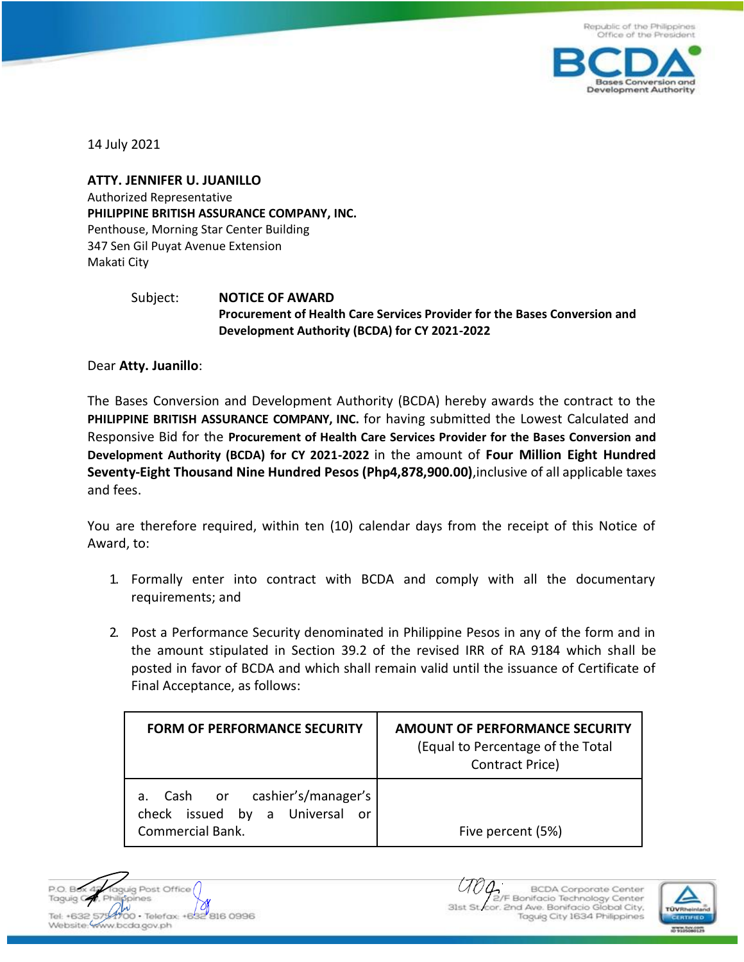

14 July 2021

**ATTY. JENNIFER U. JUANILLO** Authorized Representative **PHILIPPINE BRITISH ASSURANCE COMPANY, INC.** Penthouse, Morning Star Center Building 347 Sen Gil Puyat Avenue Extension Makati City

## Subject: **NOTICE OF AWARD Procurement of Health Care Services Provider for the Bases Conversion and Development Authority (BCDA) for CY 2021-2022**

Dear **Atty. Juanillo**:

The Bases Conversion and Development Authority (BCDA) hereby awards the contract to the **PHILIPPINE BRITISH ASSURANCE COMPANY, INC.** for having submitted the Lowest Calculated and Responsive Bid for the **Procurement of Health Care Services Provider for the Bases Conversion and Development Authority (BCDA) for CY 2021-2022** in the amount of **Four Million Eight Hundred Seventy-Eight Thousand Nine Hundred Pesos (Php4,878,900.00)**,inclusive of all applicable taxes and fees.

You are therefore required, within ten (10) calendar days from the receipt of this Notice of Award, to:

- 1. Formally enter into contract with BCDA and comply with all the documentary requirements; and
- 2. Post a Performance Security denominated in Philippine Pesos in any of the form and in the amount stipulated in Section 39.2 of the revised IRR of RA 9184 which shall be posted in favor of BCDA and which shall remain valid until the issuance of Certificate of Final Acceptance, as follows:

| <b>FORM OF PERFORMANCE SECURITY</b>                                                         | AMOUNT OF PERFORMANCE SECURITY<br>(Equal to Percentage of the Total<br>Contract Price) |
|---------------------------------------------------------------------------------------------|----------------------------------------------------------------------------------------|
| a. Cash or cashier's/manager's<br>check issued by a Universal or<br><b>Commercial Bank.</b> | Five percent (5%)                                                                      |